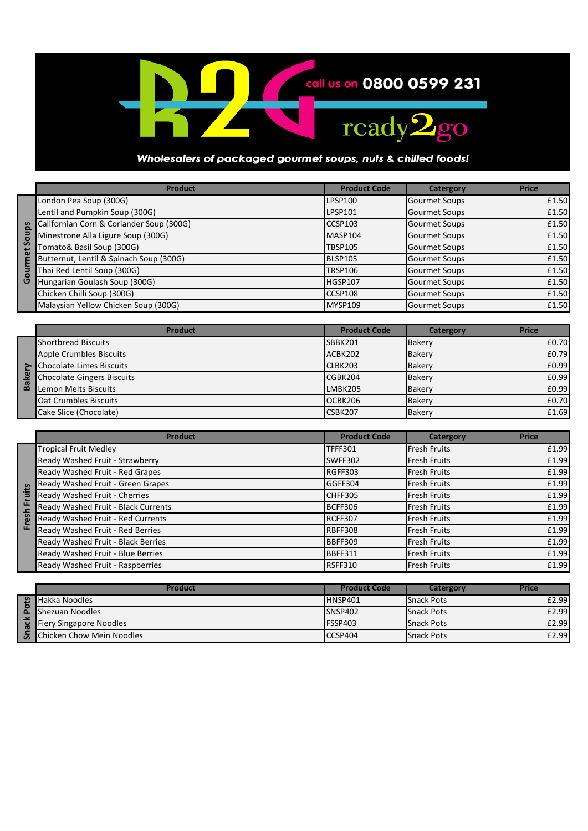

## Wholesalers of packaged gourmet soups, nuts & chilled foods!

|          | Product                                  | <b>Product Code</b> | Catergory            | <b>Price</b> |
|----------|------------------------------------------|---------------------|----------------------|--------------|
|          | London Pea Soup (300G)                   | LPSP100             | <b>Gourmet Soups</b> | £1.50        |
|          | Lentil and Pumpkin Soup (300G)           | LPSP101             | <b>Gourmet Soups</b> | £1.50        |
| <u>័</u> | Californian Corn & Coriander Soup (300G) | <b>CCSP103</b>      | <b>Gourmet Soups</b> | £1.50        |
|          | Minestrone Alla Ligure Soup (300G)       | MASP104             | <b>Gourmet Soups</b> | £1.50        |
| S        | Tomato& Basil Soup (300G)                | <b>TBSP105</b>      | <b>Gourmet Soups</b> | £1.50        |
|          | Butternut, Lentil & Spinach Soup (300G)  | <b>BLSP105</b>      | <b>Gourmet Soups</b> | £1.50        |
| ō        | Thai Red Lentil Soup (300G)              | <b>TRSP106</b>      | <b>Gourmet Soups</b> | £1.50        |
| O        | Hungarian Goulash Soup (300G)            | HGSP107             | <b>Gourmet Soups</b> | £1.50        |
|          | Chicken Chilli Soup (300G)               | CCSP108             | <b>Gourmet Soups</b> | £1.50        |
|          | Malaysian Yellow Chicken Soup (300G)     | MYSP109             | <b>Gourmet Soups</b> | £1.50        |

|             | <b>Product</b>                    | <b>Product Code</b> | Catergory     | <b>Price</b> |
|-------------|-----------------------------------|---------------------|---------------|--------------|
|             | <b>Shortbread Biscuits</b>        | <b>SBBK201</b>      | Bakery        | £0.70        |
|             | Apple Crumbles Biscuits           | ACBK202             | Bakery        | £0.79        |
|             | <b>Chocolate Limes Biscuits</b>   | CLBK203             | Bakery        | £0.99        |
| ω<br>ω<br>മ | <b>Chocolate Gingers Biscuits</b> | CGBK204             | Bakery        | £0.99        |
|             | Lemon Melts Biscuits              | LMBK205             | <b>Bakery</b> | £0.99        |
|             | <b>Oat Crumbles Biscuits</b>      | OCBK206             | Bakery        | £0.70        |
|             | Cake Slice (Chocolate)            | CSBK207             | Bakery        | £1.69        |

|      | <b>Product</b>                      | <b>Product Code</b> | Catergory           | <b>Price</b> |
|------|-------------------------------------|---------------------|---------------------|--------------|
|      | <b>Tropical Fruit Medley</b>        | <b>TFFF301</b>      | <b>Fresh Fruits</b> | £1.99        |
|      | Ready Washed Fruit - Strawberry     | SWFF302             | <b>Fresh Fruits</b> | £1.99        |
|      | Ready Washed Fruit - Red Grapes     | RGFF303             | <b>Fresh Fruits</b> | £1.99        |
| iits | Ready Washed Fruit - Green Grapes   | GGFF304             | <b>Fresh Fruits</b> | £1.99        |
|      | Ready Washed Fruit - Cherries       | ICHFF305            | <b>Fresh Fruits</b> | £1.99        |
| ū    | Ready Washed Fruit - Black Currents | BCFF306             | <b>Fresh Fruits</b> | £1.99        |
| esh  | Ready Washed Fruit - Red Currents   | RCFF307             | <b>Fresh Fruits</b> | £1.99        |
| ū    | Ready Washed Fruit - Red Berries    | <b>RBFF308</b>      | <b>Fresh Fruits</b> | £1.99        |
|      | Ready Washed Fruit - Black Berries  | <b>BBFF309</b>      | <b>Fresh Fruits</b> | £1.99        |
|      | Ready Washed Fruit - Blue Berries   | <b>BBFF311</b>      | <b>Fresh Fruits</b> | £1.99        |
|      | Ready Washed Fruit - Raspberries    | RSFF310             | <b>Fresh Fruits</b> | £1.99        |

|                          | Product                          | <b>Product Code</b> | Catergory         | Price |
|--------------------------|----------------------------------|---------------------|-------------------|-------|
|                          | Hakka Noodles                    | HNSP401             | <b>Snack Pots</b> | £2.99 |
| $\overline{\phantom{0}}$ | Shezuan Noodles                  | SNSP402             | <b>Snack Pots</b> | £2.99 |
| æ                        | Fiery Singapore Noodles          | FSSP403             | <b>Snack Pots</b> | £2.99 |
|                          | <b>Chicken Chow Mein Noodles</b> | CCSP404             | <b>Snack Pots</b> | £2.99 |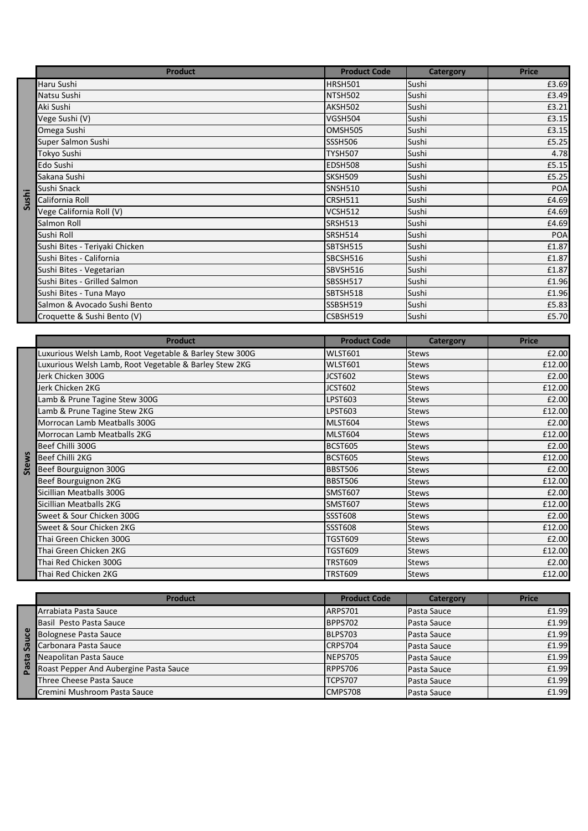|       | <b>Product</b>                 | <b>Product Code</b> | Catergory | <b>Price</b> |
|-------|--------------------------------|---------------------|-----------|--------------|
|       | Haru Sushi                     | <b>HRSH501</b>      | Sushi     | £3.69        |
|       | Natsu Sushi                    | NTSH502             | Sushi     | £3.49        |
|       | Aki Sushi                      | AKSH502             | Sushi     | £3.21        |
|       | Vege Sushi (V)                 | <b>VGSH504</b>      | Sushi     | £3.15        |
|       | Omega Sushi                    | OMSH505             | Sushi     | £3.15        |
|       | Super Salmon Sushi             | <b>SSSH506</b>      | Sushi     | £5.25        |
|       | Tokyo Sushi                    | <b>TYSH507</b>      | Sushi     | 4.78         |
|       | Edo Sushi                      | <b>EDSH508</b>      | Sushi     | £5.15        |
|       | Sakana Sushi                   | <b>SKSH509</b>      | Sushi     | £5.25        |
|       | Sushi Snack                    | <b>SNSH510</b>      | Sushi     | <b>POA</b>   |
| Sushi | California Roll                | <b>CRSH511</b>      | Sushi     | £4.69        |
|       | Vege California Roll (V)       | VCSH512             | Sushi     | £4.69        |
|       | Salmon Roll                    | <b>SRSH513</b>      | Sushi     | £4.69        |
|       | Sushi Roll                     | <b>SRSH514</b>      | Sushi     | <b>POA</b>   |
|       | Sushi Bites - Teriyaki Chicken | SBTSH515            | Sushi     | £1.87        |
|       | Sushi Bites - California       | SBCSH516            | Sushi     | £1.87        |
|       | Sushi Bites - Vegetarian       | SBVSH516            | Sushi     | £1.87        |
|       | Sushi Bites - Grilled Salmon   | SBSSH517            | Sushi     | £1.96        |
|       | Sushi Bites - Tuna Mayo        | SBTSH518            | Sushi     | £1.96        |
|       | Salmon & Avocado Sushi Bento   | SSBSH519            | Sushi     | £5.83        |
|       | Croquette & Sushi Bento (V)    | CSBSH519            | Sushi     | £5.70        |

|              | <b>Product</b>                                         | <b>Product Code</b> | Catergory        | <b>Price</b> |
|--------------|--------------------------------------------------------|---------------------|------------------|--------------|
|              | uxurious Welsh Lamb, Root Vegetable & Barley Stew 300G | <b>WLST601</b>      | <b>Stews</b>     | £2.00        |
|              | uxurious Welsh Lamb, Root Vegetable & Barley Stew 2KG  | <b>WLST601</b>      | <b>Stews</b>     | £12.00       |
|              | Jerk Chicken 300G                                      | JCST602             | <b>Stews</b>     | £2.00        |
|              | Jerk Chicken 2KG                                       | <b>JCST602</b>      | <b>Stews</b>     | £12.00       |
|              | Lamb & Prune Tagine Stew 300G                          | <b>LPST603</b>      | <b>Stews</b>     | £2.00        |
|              | Lamb & Prune Tagine Stew 2KG                           | <b>LPST603</b>      | <b>Stews</b>     | £12.00       |
|              | Morrocan Lamb Meatballs 300G                           | <b>MLST604</b>      | <b>Stews</b>     | £2.00        |
|              | Morrocan Lamb Meatballs 2KG                            | <b>MLST604</b>      | <b>Stews</b>     | £12.00       |
|              | Beef Chilli 300G                                       | <b>BCST605</b>      | <b>Stews</b>     | £2.00        |
| <b>Stews</b> | <b>Beef Chilli 2KG</b>                                 | <b>BCST605</b>      | <b>Stews</b>     | £12.00       |
|              | Beef Bourguignon 300G                                  | <b>BBST506</b>      | <b>Stews</b>     | £2.00        |
|              | Beef Bourguignon 2KG                                   | <b>BBST506</b>      | <b>Stews</b>     | £12.00       |
|              | Sicillian Meatballs 300G                               | <b>SMST607</b>      | <b>Stews</b>     | £2.00        |
|              | Sicillian Meatballs 2KG                                | <b>SMST607</b>      | <b>Stews</b>     | £12.00       |
|              | Sweet & Sour Chicken 300G                              | <b>SSST608</b>      | <b>Stews</b>     | £2.00        |
|              | Sweet & Sour Chicken 2KG                               | <b>SSST608</b>      | <b>Stews</b>     | £12.00       |
|              | Thai Green Chicken 300G                                | <b>TGST609</b>      | <b>Stews</b>     | £2.00        |
|              | Thai Green Chicken 2KG                                 | <b>TGST609</b>      | <b>Stews</b>     | £12.00       |
|              | Thai Red Chicken 300G                                  | <b>TRST609</b>      | <b>Stews</b>     | £2.00        |
|              | Thai Red Chicken 2KG                                   | <b>TRST609</b>      | <b>Stews</b>     | £12.00       |
|              |                                                        |                     |                  |              |
|              | <b>Product</b>                                         | <b>Product Code</b> | <b>Catergory</b> | <b>Price</b> |
|              | Arrabiata Pasta Sauce                                  | <b>ARPS701</b>      | Pasta Sauce      | £1.99        |
|              | Basil Pesto Pasta Sauce                                | <b>BPPS702</b>      | Pasta Sauce      | £1.99        |
|              | <b>Bolognese Pasta Sauce</b>                           | <b>BLPS703</b>      | Pasta Sauce      | £1.99        |
| Sauce        | Carbonara Pasta Sauce                                  | <b>CRPS704</b>      | Pasta Sauce      | £1.99        |
| Pasta        | Neapolitan Pasta Sauce                                 | <b>NEPS705</b>      | Pasta Sauce      | £1.99        |
|              | Roast Pepper And Aubergine Pasta Sauce                 | <b>RPPS706</b>      | Pasta Sauce      | £1.99        |

|              | <b>Product</b>                         | <b>Product Code</b> | <b>Catergory</b> | <b>Price</b> |
|--------------|----------------------------------------|---------------------|------------------|--------------|
|              | Arrabiata Pasta Sauce                  | ARPS701             | Pasta Sauce      | £1.99        |
|              | Basil Pesto Pasta Sauce                | BPPS702             | Pasta Sauce      | £1.99        |
| ga           | <b>Bolognese Pasta Sauce</b>           | BLPS703             | Pasta Sauce      | £1.99        |
| ື້ ອີ        | Carbonara Pasta Sauce                  | CRPS704             | Pasta Sauce      | £1.99        |
| sta          | Neapolitan Pasta Sauce                 | NEPS705             | Pasta Sauce      | £1.99        |
| $\mathbf{z}$ | Roast Pepper And Aubergine Pasta Sauce | RPPS706             | Pasta Sauce      | £1.99        |
|              | Three Cheese Pasta Sauce               | TCPS707             | Pasta Sauce      | £1.99        |
|              | Cremini Mushroom Pasta Sauce           | CMPS708             | Pasta Sauce      | £1.99        |